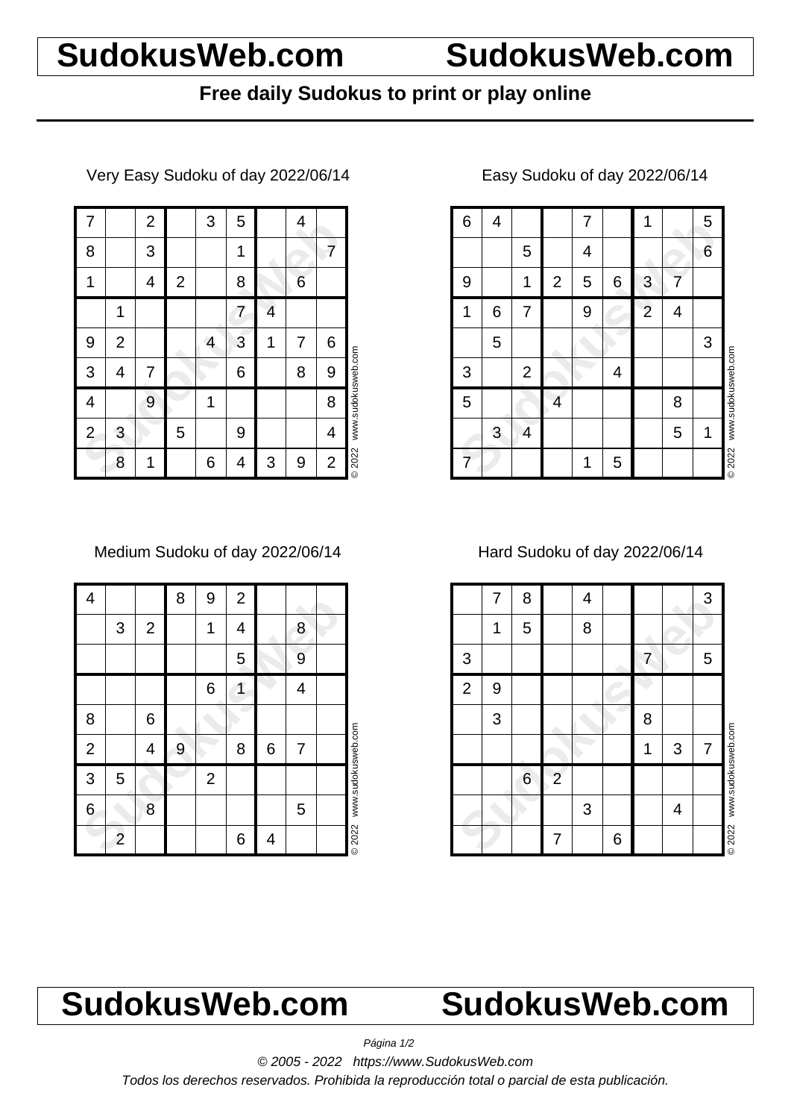# **SudokusWeb.com SudokusWeb.com**

## **Free daily Sudokus to print or play online**

Very Easy Sudoku of day 2022/06/14

| 7              |                | $\overline{c}$ |              | 3 | 5 |   | 4 |                |                    |
|----------------|----------------|----------------|--------------|---|---|---|---|----------------|--------------------|
| 8              |                | 3              |              |   | 1 |   |   | 7              |                    |
| 1              |                | 4              | $\mathbf{2}$ |   | 8 |   | 6 |                |                    |
|                | 1              |                |              |   | 7 | 4 |   |                |                    |
| 9              | $\overline{2}$ |                |              | 4 | 3 | 1 | 7 | 6              |                    |
| 3              | 4              | 7              |              |   | 6 |   | 8 | 9              | www.sudokusweb.com |
| 4              |                | 9              |              | 1 |   |   |   | 8              |                    |
| $\overline{2}$ | 3              |                | 5            |   | 9 |   |   | 4              |                    |
|                | 8              | 1              |              | 6 | 4 | 3 | 9 | $\overline{c}$ | © 2022             |

Medium Sudoku of day 2022/06/14

| 4              |                |             | 8 | 9              | $\overline{2}$ |   |   |                    |
|----------------|----------------|-------------|---|----------------|----------------|---|---|--------------------|
|                | 3              | $\mathbf 2$ |   | 1              | 4              |   | 8 |                    |
|                |                |             |   |                | 5              |   | 9 |                    |
|                |                |             |   | 6              | 1              |   | 4 |                    |
| 8              |                | 6           |   |                |                |   |   |                    |
| $\overline{2}$ |                | 4           | 9 |                | 8              | 6 | 7 |                    |
| 3              | 5              |             |   | $\overline{2}$ |                |   |   | www.sudokusweb.com |
| 6              |                | 8           |   |                |                |   | 5 |                    |
|                | $\overline{c}$ |             |   |                | 6              | 4 |   | © 2022             |

### 8 4 7 1 5<br>
9 1 2 5 6 3 7<br>
1 6 7 9 2 4<br>
5 4<br>
5 4<br>
5 4 8<br>
3 4 5 1<br>
7 1 5 1 6 4 1 7 1 1 5 5 4 6 9 | 1 | 2 | 5 | 6 | 3 | 7 1 6 7 9 2 2 4 5 3  $3 \mid 2 \mid 4$ 5 4 8 3 4 | | | | | | 5 | 1 7 | | | | | 1 | 5 © 2022 www.sudokusweb.com

### Easy Sudoku of day 2022/06/14

Hard Sudoku of day 2022/06/14

|                | 7 | 8 |                | 4 |   |   |   | 3 |                    |
|----------------|---|---|----------------|---|---|---|---|---|--------------------|
|                | 1 | 5 |                | 8 |   |   |   |   |                    |
| $\sqrt{3}$     |   |   |                |   |   | 7 |   | 5 |                    |
| $\overline{2}$ | 9 |   |                |   |   |   |   |   |                    |
|                | 3 |   |                |   |   | 8 |   |   |                    |
|                |   |   |                |   |   | 1 | 3 | 7 |                    |
|                |   | 6 | $\overline{2}$ |   |   |   |   |   | www.sudokusweb.com |
|                |   |   |                | 3 |   |   | 4 |   |                    |
|                |   |   | 7              |   | 6 |   |   |   | <b>©2022</b>       |

# **SudokusWeb.com SudokusWeb.com**

Página 1/2

© 2005 - 2022 https://www.SudokusWeb.com

Todos los derechos reservados. Prohibida la reproducción total o parcial de esta publicación.